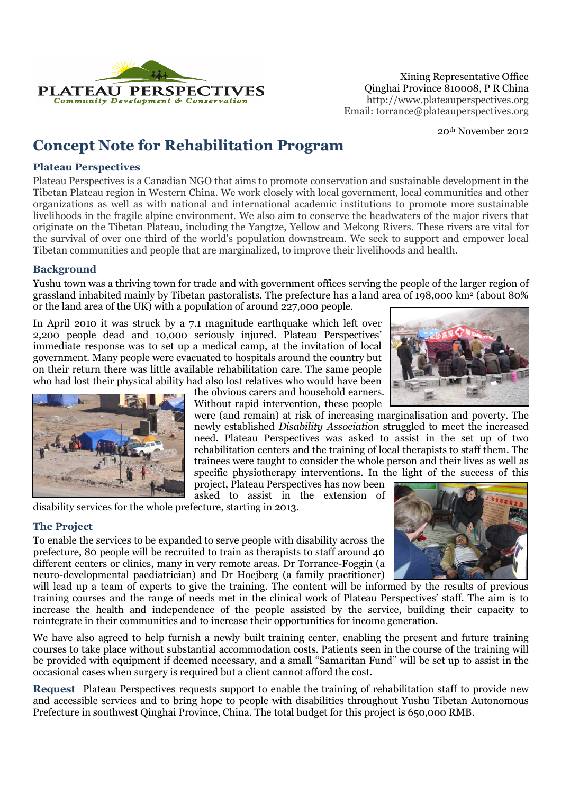

Xining Representative Office Email: torrance@plateauperspectives.org

20th November 2012

# **Concept Note for Rehabilitation Program**

### **Plateau Perspectives**

Plateau Perspectives is a Canadian NGO that aims to promote conservation and sustainable development in the Tibetan Plateau region in Western China. We work closely with local government, local communities and other organizations as well as with national and international academic institutions to promote more sustainable livelihoods in the fragile alpine environment. We also aim to conserve the headwaters of the major rivers that originate on the Tibetan Plateau, including the Yangtze, Yellow and Mekong Rivers. These rivers are vital for the survival of over one third of the world's population downstream. We seek to support and empower local Tibetan communities and people that are marginalized, to improve their livelihoods and health.

## **Background**

Yushu town was a thriving town for trade and with government offices serving the people of the larger region of grassland inhabited mainly by Tibetan pastoralists. The prefecture has a land area of 198,000 km<sup>2</sup> (about 80% or the land area of the UK) with a population of around 227,000 people.

In April 2010 it was struck by a 7.1 magnitude earthquake which left over 2,200 people dead and 10,000 seriously injured. Plateau Perspectives' immediate response was to set up a medical camp, at the invitation of local government. Many people were evacuated to hospitals around the country but on their return there was little available rehabilitation care. The same people who had lost their physical ability had also lost relatives who would have been





the obvious carers and household earners. Without rapid intervention, these people

were (and remain) at risk of increasing marginalisation and poverty. The newly established *Disability Association* struggled to meet the increased need. Plateau Perspectives was asked to assist in the set up of two rehabilitation centers and the training of local therapists to staff them. The trainees were taught to consider the whole person and their lives as well as specific physiotherapy interventions. In the light of the success of this

project, Plateau Perspectives has now been asked to assist in the extension of

disability services for the whole prefecture, starting in 2013.

## **The Project**

To enable the services to be expanded to serve people with disability across the prefecture, 80 people will be recruited to train as therapists to staff around 40 different centers or clinics, many in very remote areas. Dr Torrance-Foggin (a neuro-developmental paediatrician) and Dr Hoejberg (a family practitioner)

will lead up a team of experts to give the training. The content will be informed by the results of previous training courses and the range of needs met in the clinical work of Plateau Perspectives' staff. The aim is to increase the health and independence of the people assisted by the service, building their capacity to reintegrate in their communities and to increase their opportunities for income generation.

We have also agreed to help furnish a newly built training center, enabling the present and future training courses to take place without substantial accommodation costs. Patients seen in the course of the training will be provided with equipment if deemed necessary, and a small "Samaritan Fund" will be set up to assist in the occasional cases when surgery is required but a client cannot afford the cost.

**Request** Plateau Perspectives requests support to enable the training of rehabilitation staff to provide new and accessible services and to bring hope to people with disabilities throughout Yushu Tibetan Autonomous Prefecture in southwest Qinghai Province, China. The total budget for this project is 650,000 RMB.